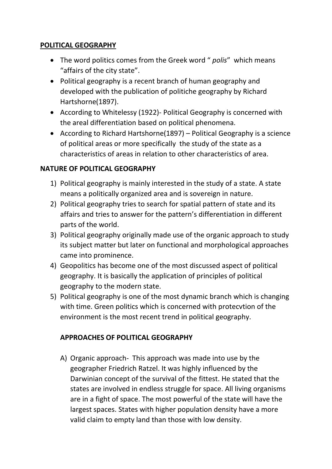## **POLITICAL GEOGRAPHY**

- The word politics comes from the Greek word " *polis*" which means "affairs of the city state".
- Political geography is a recent branch of human geography and developed with the publication of politiche geography by Richard Hartshorne(1897).
- According to Whitelessy (1922)- Political Geography is concerned with the areal differentiation based on political phenomena.
- According to Richard Hartshorne(1897) Political Geography is a science of political areas or more specifically the study of the state as a characteristics of areas in relation to other characteristics of area.

## **NATURE OF POLITICAL GEOGRAPHY**

- 1) Political geography is mainly interested in the study of a state. A state means a politically organized area and is sovereign in nature.
- 2) Political geography tries to search for spatial pattern of state and its affairs and tries to answer for the pattern's differentiation in different parts of the world.
- 3) Political geography originally made use of the organic approach to study its subject matter but later on functional and morphological approaches came into prominence.
- 4) Geopolitics has become one of the most discussed aspect of political geography. It is basically the application of principles of political geography to the modern state.
- 5) Political geography is one of the most dynamic branch which is changing with time. Green politics which is concerned with protecvtion of the environment is the most recent trend in political geography.

## **APPROACHES OF POLITICAL GEOGRAPHY**

A) Organic approach- This approach was made into use by the geographer Friedrich Ratzel. It was highly influenced by the Darwinian concept of the survival of the fittest. He stated that the states are involved in endless struggle for space. All living organisms are in a fight of space. The most powerful of the state will have the largest spaces. States with higher population density have a more valid claim to empty land than those with low density.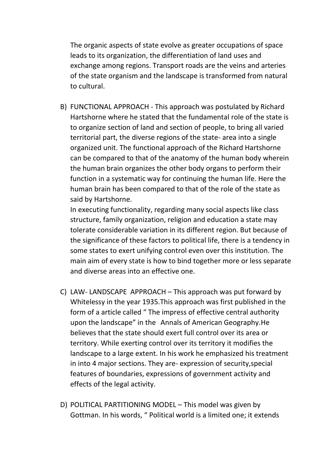The organic aspects of state evolve as greater occupations of space leads to its organization, the differentiation of land uses and exchange among regions. Transport roads are the veins and arteries of the state organism and the landscape is transformed from natural to cultural.

B) FUNCTIONAL APPROACH - This approach was postulated by Richard Hartshorne where he stated that the fundamental role of the state is to organize section of land and section of people, to bring all varied territorial part, the diverse regions of the state- area into a single organized unit. The functional approach of the Richard Hartshorne can be compared to that of the anatomy of the human body wherein the human brain organizes the other body organs to perform their function in a systematic way for continuing the human life. Here the human brain has been compared to that of the role of the state as said by Hartshorne.

In executing functionality, regarding many social aspects like class structure, family organization, religion and education a state may tolerate considerable variation in its different region. But because of the significance of these factors to political life, there is a tendency in some states to exert unifying control even over this institution. The main aim of every state is how to bind together more or less separate and diverse areas into an effective one.

- C) LAW- LANDSCAPE APPROACH This approach was put forward by Whitelessy in the year 1935.This approach was first published in the form of a article called " The impress of effective central authority upon the landscape" in the Annals of American Geography.He believes that the state should exert full control over its area or territory. While exerting control over its territory it modifies the landscape to a large extent. In his work he emphasized his treatment in into 4 major sections. They are- expression of security,special features of boundaries, expressions of government activity and effects of the legal activity.
- D) POLITICAL PARTITIONING MODEL This model was given by Gottman. In his words, " Political world is a limited one; it extends